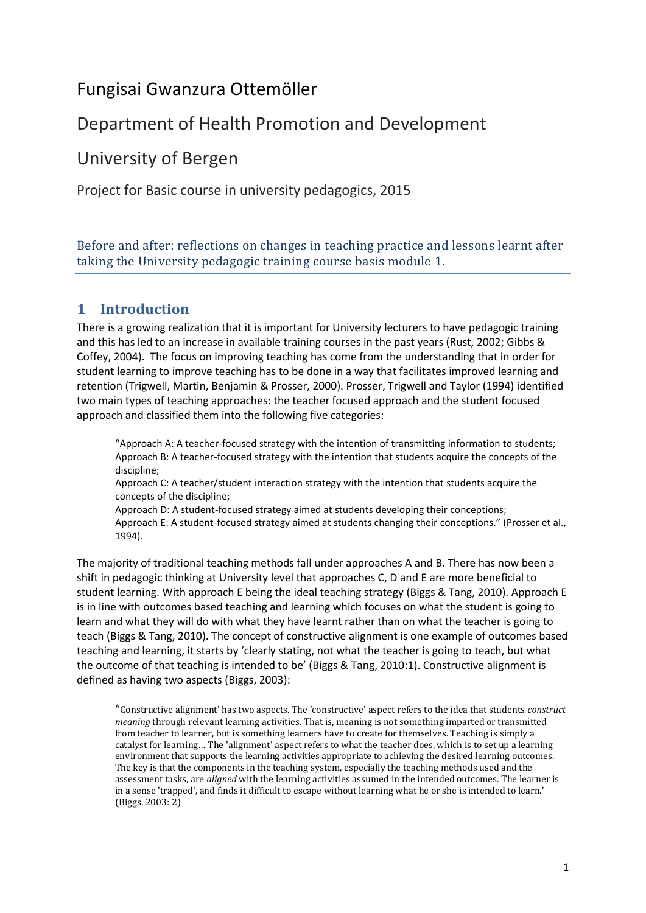# Fungisai Gwanzura Ottemöller

# Department of Health Promotion and Development

# University of Bergen

Project for Basic course in university pedagogics, 2015

Before and after: reflections on changes in teaching practice and lessons learnt after taking the University pedagogic training course basis module 1.

# **1 Introduction**

There is a growing realization that it is important for University lecturers to have pedagogic training and this has led to an increase in available training courses in the past years (Rust, 2002; Gibbs & Coffey, 2004). The focus on improving teaching has come from the understanding that in order for student learning to improve teaching has to be done in a way that facilitates improved learning and retention (Trigwell, Martin, Benjamin & Prosser, 2000). Prosser, Trigwell and Taylor (1994) identified two main types of teaching approaches: the teacher focused approach and the student focused approach and classified them into the following five categories:

"Approach A: A teacher-focused strategy with the intention of transmitting information to students; Approach B: A teacher-focused strategy with the intention that students acquire the concepts of the discipline;

Approach C: A teacher/student interaction strategy with the intention that students acquire the concepts of the discipline;

Approach D: A student-focused strategy aimed at students developing their conceptions; Approach E: A student-focused strategy aimed at students changing their conceptions." (Prosser et al., 1994).

The majority of traditional teaching methods fall under approaches A and B. There has now been a shift in pedagogic thinking at University level that approaches C, D and E are more beneficial to student learning. With approach E being the ideal teaching strategy (Biggs & Tang, 2010). Approach E is in line with outcomes based teaching and learning which focuses on what the student is going to learn and what they will do with what they have learnt rather than on what the teacher is going to teach (Biggs & Tang, 2010). The concept of constructive alignment is one example of outcomes based teaching and learning, it starts by 'clearly stating, not what the teacher is going to teach, but what the outcome of that teaching is intended to be' (Biggs & Tang, 2010:1). Constructive alignment is defined as having two aspects (Biggs, 2003):

''Constructive alignment' has two aspects. The 'constructive' aspect refers to the idea that students *construct meaning* through relevant learning activities. That is, meaning is not something imparted or transmitted from teacher to learner, but is something learners have to create for themselves. Teaching is simply a catalyst for learning… The 'alignment' aspect refers to what the teacher does, which is to set up a learning environment that supports the learning activities appropriate to achieving the desired learning outcomes. The key is that the components in the teaching system, especially the teaching methods used and the assessment tasks, are *aligned* with the learning activities assumed in the intended outcomes. The learner is in a sense 'trapped', and finds it difficult to escape without learning what he or she is intended to learn.' (Biggs, 2003: 2)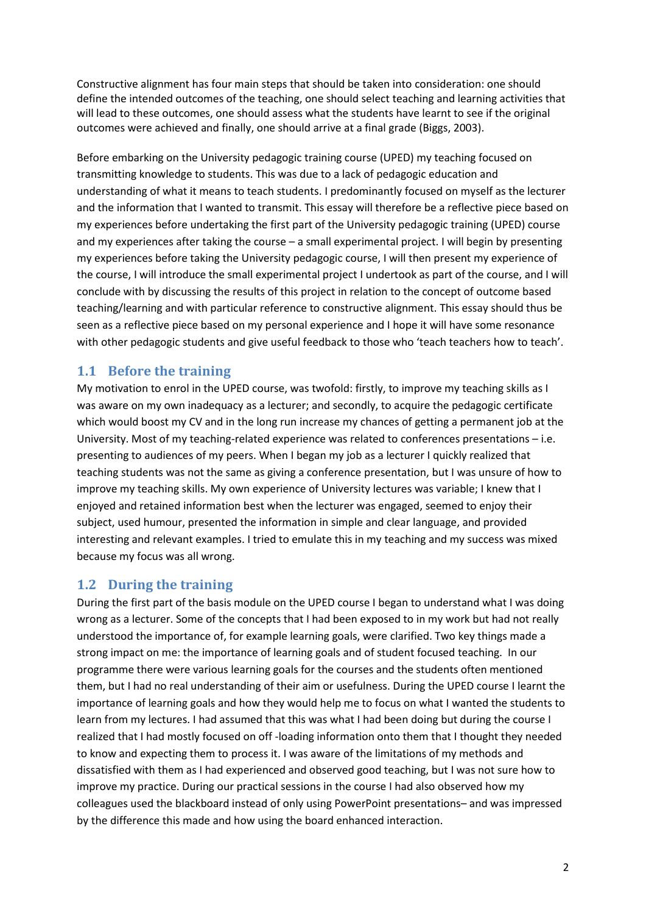Constructive alignment has four main steps that should be taken into consideration: one should define the intended outcomes of the teaching, one should select teaching and learning activities that will lead to these outcomes, one should assess what the students have learnt to see if the original outcomes were achieved and finally, one should arrive at a final grade (Biggs, 2003).

Before embarking on the University pedagogic training course (UPED) my teaching focused on transmitting knowledge to students. This was due to a lack of pedagogic education and understanding of what it means to teach students. I predominantly focused on myself as the lecturer and the information that I wanted to transmit. This essay will therefore be a reflective piece based on my experiences before undertaking the first part of the University pedagogic training (UPED) course and my experiences after taking the course – a small experimental project. I will begin by presenting my experiences before taking the University pedagogic course, I will then present my experience of the course, I will introduce the small experimental project I undertook as part of the course, and I will conclude with by discussing the results of this project in relation to the concept of outcome based teaching/learning and with particular reference to constructive alignment. This essay should thus be seen as a reflective piece based on my personal experience and I hope it will have some resonance with other pedagogic students and give useful feedback to those who 'teach teachers how to teach'.

## **1.1 Before the training**

My motivation to enrol in the UPED course, was twofold: firstly, to improve my teaching skills as I was aware on my own inadequacy as a lecturer; and secondly, to acquire the pedagogic certificate which would boost my CV and in the long run increase my chances of getting a permanent job at the University. Most of my teaching-related experience was related to conferences presentations – i.e. presenting to audiences of my peers. When I began my job as a lecturer I quickly realized that teaching students was not the same as giving a conference presentation, but I was unsure of how to improve my teaching skills. My own experience of University lectures was variable; I knew that I enjoyed and retained information best when the lecturer was engaged, seemed to enjoy their subject, used humour, presented the information in simple and clear language, and provided interesting and relevant examples. I tried to emulate this in my teaching and my success was mixed because my focus was all wrong.

# **1.2 During the training**

During the first part of the basis module on the UPED course I began to understand what I was doing wrong as a lecturer. Some of the concepts that I had been exposed to in my work but had not really understood the importance of, for example learning goals, were clarified. Two key things made a strong impact on me: the importance of learning goals and of student focused teaching. In our programme there were various learning goals for the courses and the students often mentioned them, but I had no real understanding of their aim or usefulness. During the UPED course I learnt the importance of learning goals and how they would help me to focus on what I wanted the students to learn from my lectures. I had assumed that this was what I had been doing but during the course I realized that I had mostly focused on off -loading information onto them that I thought they needed to know and expecting them to process it. I was aware of the limitations of my methods and dissatisfied with them as I had experienced and observed good teaching, but I was not sure how to improve my practice. During our practical sessions in the course I had also observed how my colleagues used the blackboard instead of only using PowerPoint presentations– and was impressed by the difference this made and how using the board enhanced interaction.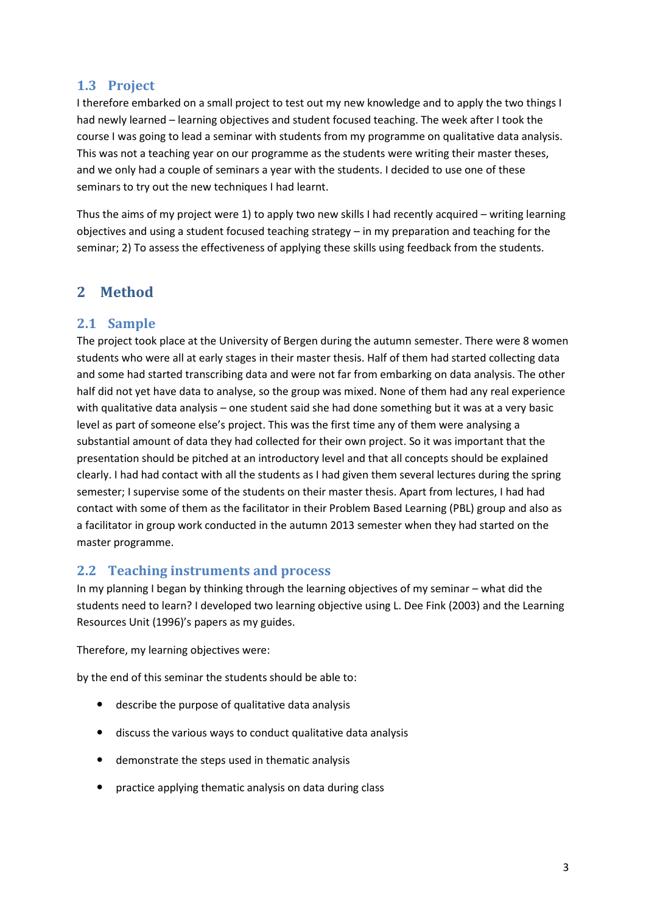### **1.3 Project**

I therefore embarked on a small project to test out my new knowledge and to apply the two things I had newly learned – learning objectives and student focused teaching. The week after I took the course I was going to lead a seminar with students from my programme on qualitative data analysis. This was not a teaching year on our programme as the students were writing their master theses, and we only had a couple of seminars a year with the students. I decided to use one of these seminars to try out the new techniques I had learnt.

Thus the aims of my project were 1) to apply two new skills I had recently acquired – writing learning objectives and using a student focused teaching strategy – in my preparation and teaching for the seminar; 2) To assess the effectiveness of applying these skills using feedback from the students.

# **2 Method**

### **2.1 Sample**

The project took place at the University of Bergen during the autumn semester. There were 8 women students who were all at early stages in their master thesis. Half of them had started collecting data and some had started transcribing data and were not far from embarking on data analysis. The other half did not yet have data to analyse, so the group was mixed. None of them had any real experience with qualitative data analysis – one student said she had done something but it was at a very basic level as part of someone else's project. This was the first time any of them were analysing a substantial amount of data they had collected for their own project. So it was important that the presentation should be pitched at an introductory level and that all concepts should be explained clearly. I had had contact with all the students as I had given them several lectures during the spring semester; I supervise some of the students on their master thesis. Apart from lectures, I had had contact with some of them as the facilitator in their Problem Based Learning (PBL) group and also as a facilitator in group work conducted in the autumn 2013 semester when they had started on the master programme.

### **2.2 Teaching instruments and process**

In my planning I began by thinking through the learning objectives of my seminar – what did the students need to learn? I developed two learning objective using L. Dee Fink (2003) and the Learning Resources Unit (1996)'s papers as my guides.

Therefore, my learning objectives were:

by the end of this seminar the students should be able to:

- describe the purpose of qualitative data analysis
- discuss the various ways to conduct qualitative data analysis
- demonstrate the steps used in thematic analysis
- practice applying thematic analysis on data during class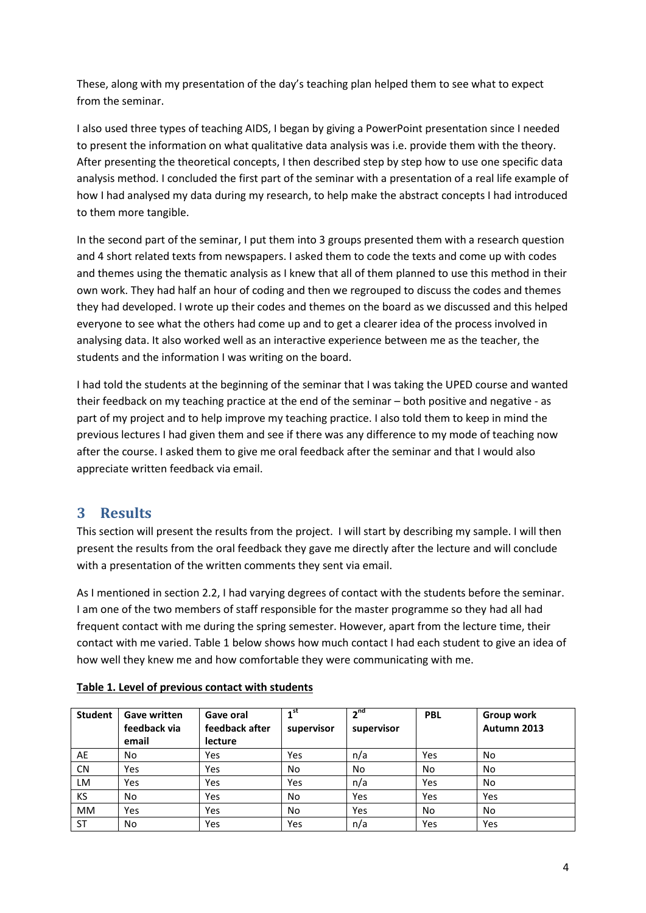These, along with my presentation of the day's teaching plan helped them to see what to expect from the seminar.

I also used three types of teaching AIDS, I began by giving a PowerPoint presentation since I needed to present the information on what qualitative data analysis was i.e. provide them with the theory. After presenting the theoretical concepts, I then described step by step how to use one specific data analysis method. I concluded the first part of the seminar with a presentation of a real life example of how I had analysed my data during my research, to help make the abstract concepts I had introduced to them more tangible.

In the second part of the seminar, I put them into 3 groups presented them with a research question and 4 short related texts from newspapers. I asked them to code the texts and come up with codes and themes using the thematic analysis as I knew that all of them planned to use this method in their own work. They had half an hour of coding and then we regrouped to discuss the codes and themes they had developed. I wrote up their codes and themes on the board as we discussed and this helped everyone to see what the others had come up and to get a clearer idea of the process involved in analysing data. It also worked well as an interactive experience between me as the teacher, the students and the information I was writing on the board.

I had told the students at the beginning of the seminar that I was taking the UPED course and wanted their feedback on my teaching practice at the end of the seminar – both positive and negative - as part of my project and to help improve my teaching practice. I also told them to keep in mind the previous lectures I had given them and see if there was any difference to my mode of teaching now after the course. I asked them to give me oral feedback after the seminar and that I would also appreciate written feedback via email.

# **3 Results**

This section will present the results from the project. I will start by describing my sample. I will then present the results from the oral feedback they gave me directly after the lecture and will conclude with a presentation of the written comments they sent via email.

As I mentioned in section 2.2, I had varying degrees of contact with the students before the seminar. I am one of the two members of staff responsible for the master programme so they had all had frequent contact with me during the spring semester. However, apart from the lecture time, their contact with me varied. Table 1 below shows how much contact I had each student to give an idea of how well they knew me and how comfortable they were communicating with me.

| <b>Student</b> | <b>Gave written</b><br>feedback via<br>email | <b>Gave oral</b><br>feedback after<br>lecture | ⊿st<br>supervisor | 2 <sup>nd</sup><br>supervisor | <b>PBL</b> | Group work<br>Autumn 2013 |
|----------------|----------------------------------------------|-----------------------------------------------|-------------------|-------------------------------|------------|---------------------------|
| AE             | No                                           | Yes                                           | Yes               | n/a                           | Yes        | No                        |
| <b>CN</b>      | Yes                                          | Yes                                           | No                | <b>No</b>                     | <b>No</b>  | No.                       |
| LM             | Yes                                          | Yes                                           | Yes               | n/a                           | Yes        | No                        |
| <b>KS</b>      | No                                           | Yes                                           | No                | Yes                           | Yes        | Yes                       |
| <b>MM</b>      | Yes                                          | Yes                                           | No                | Yes                           | No         | No.                       |
| <b>ST</b>      | <b>No</b>                                    | Yes                                           | Yes               | n/a                           | Yes        | Yes                       |

### **Table 1. Level of previous contact with students**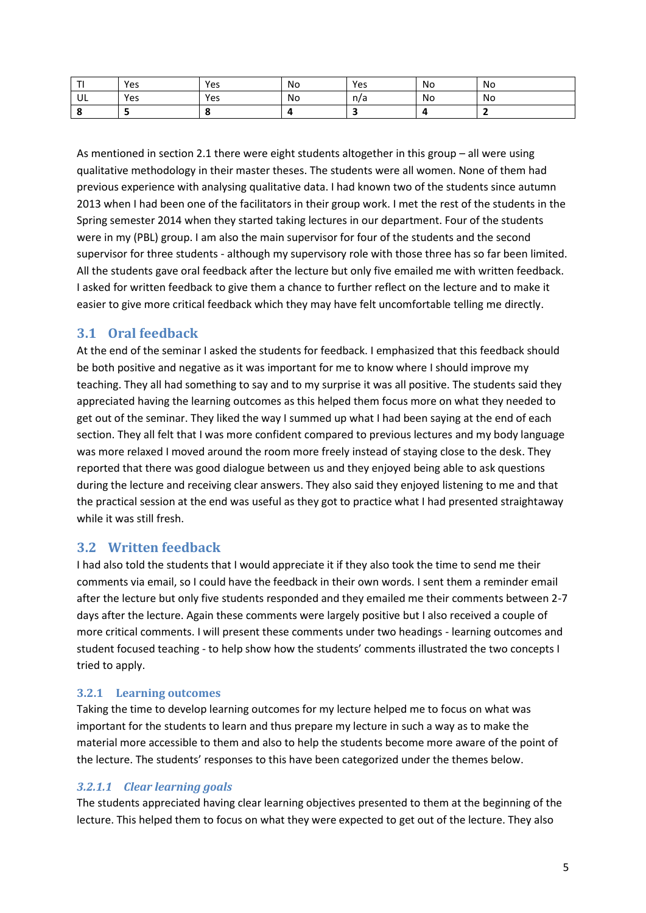|    | Yes | Yes | No | Yes | No | No |
|----|-----|-----|----|-----|----|----|
| UL | Yes | Yes | No | n/a | No | No |
|    |     |     |    |     |    |    |

As mentioned in section 2.1 there were eight students altogether in this group – all were using qualitative methodology in their master theses. The students were all women. None of them had previous experience with analysing qualitative data. I had known two of the students since autumn 2013 when I had been one of the facilitators in their group work. I met the rest of the students in the Spring semester 2014 when they started taking lectures in our department. Four of the students were in my (PBL) group. I am also the main supervisor for four of the students and the second supervisor for three students - although my supervisory role with those three has so far been limited. All the students gave oral feedback after the lecture but only five emailed me with written feedback. I asked for written feedback to give them a chance to further reflect on the lecture and to make it easier to give more critical feedback which they may have felt uncomfortable telling me directly.

## **3.1 Oral feedback**

At the end of the seminar I asked the students for feedback. I emphasized that this feedback should be both positive and negative as it was important for me to know where I should improve my teaching. They all had something to say and to my surprise it was all positive. The students said they appreciated having the learning outcomes as this helped them focus more on what they needed to get out of the seminar. They liked the way I summed up what I had been saying at the end of each section. They all felt that I was more confident compared to previous lectures and my body language was more relaxed I moved around the room more freely instead of staying close to the desk. They reported that there was good dialogue between us and they enjoyed being able to ask questions during the lecture and receiving clear answers. They also said they enjoyed listening to me and that the practical session at the end was useful as they got to practice what I had presented straightaway while it was still fresh.

## **3.2 Written feedback**

I had also told the students that I would appreciate it if they also took the time to send me their comments via email, so I could have the feedback in their own words. I sent them a reminder email after the lecture but only five students responded and they emailed me their comments between 2-7 days after the lecture. Again these comments were largely positive but I also received a couple of more critical comments. I will present these comments under two headings - learning outcomes and student focused teaching - to help show how the students' comments illustrated the two concepts I tried to apply.

### **3.2.1 Learning outcomes**

Taking the time to develop learning outcomes for my lecture helped me to focus on what was important for the students to learn and thus prepare my lecture in such a way as to make the material more accessible to them and also to help the students become more aware of the point of the lecture. The students' responses to this have been categorized under the themes below.

### *3.2.1.1 Clear learning goals*

The students appreciated having clear learning objectives presented to them at the beginning of the lecture. This helped them to focus on what they were expected to get out of the lecture. They also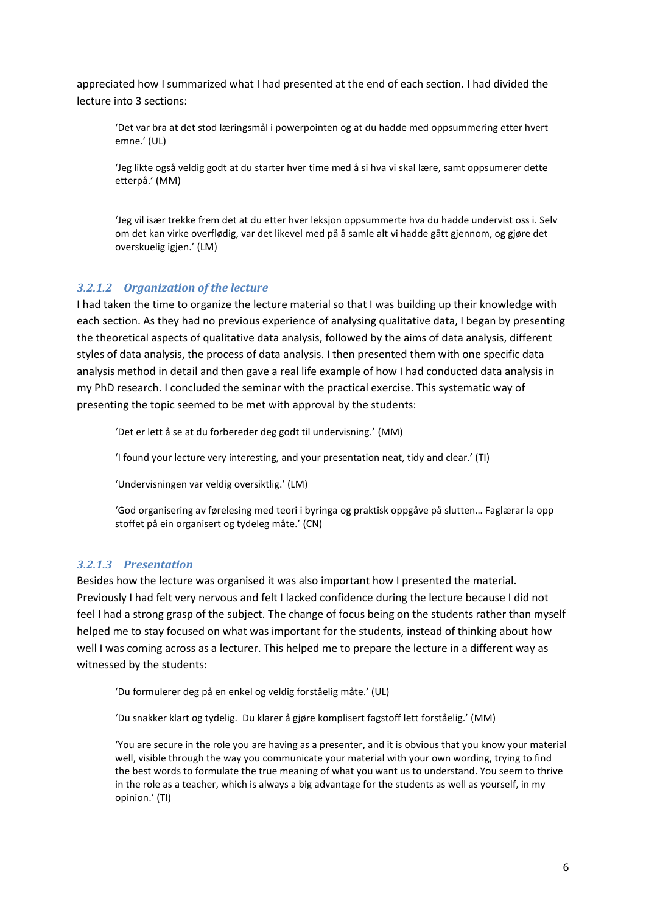appreciated how I summarized what I had presented at the end of each section. I had divided the lecture into 3 sections:

'Det var bra at det stod læringsmål i powerpointen og at du hadde med oppsummering etter hvert emne.' (UL)

'Jeg likte også veldig godt at du starter hver time med å si hva vi skal lære, samt oppsumerer dette etterpå.' (MM)

'Jeg vil især trekke frem det at du etter hver leksjon oppsummerte hva du hadde undervist oss i. Selv om det kan virke overflødig, var det likevel med på å samle alt vi hadde gått gjennom, og gjøre det overskuelig igjen.' (LM)

#### *3.2.1.2 Organization of the lecture*

I had taken the time to organize the lecture material so that I was building up their knowledge with each section. As they had no previous experience of analysing qualitative data, I began by presenting the theoretical aspects of qualitative data analysis, followed by the aims of data analysis, different styles of data analysis, the process of data analysis. I then presented them with one specific data analysis method in detail and then gave a real life example of how I had conducted data analysis in my PhD research. I concluded the seminar with the practical exercise. This systematic way of presenting the topic seemed to be met with approval by the students:

'Det er lett å se at du forbereder deg godt til undervisning.' (MM)

'I found your lecture very interesting, and your presentation neat, tidy and clear.' (TI)

'Undervisningen var veldig oversiktlig.' (LM)

'God organisering av førelesing med teori i byringa og praktisk oppgåve på slutten… Faglærar la opp stoffet på ein organisert og tydeleg måte.' (CN)

#### *3.2.1.3 Presentation*

Besides how the lecture was organised it was also important how I presented the material. Previously I had felt very nervous and felt I lacked confidence during the lecture because I did not feel I had a strong grasp of the subject. The change of focus being on the students rather than myself helped me to stay focused on what was important for the students, instead of thinking about how well I was coming across as a lecturer. This helped me to prepare the lecture in a different way as witnessed by the students:

'Du formulerer deg på en enkel og veldig forståelig måte.' (UL)

'Du snakker klart og tydelig. Du klarer å gjøre komplisert fagstoff lett forståelig.' (MM)

'You are secure in the role you are having as a presenter, and it is obvious that you know your material well, visible through the way you communicate your material with your own wording, trying to find the best words to formulate the true meaning of what you want us to understand. You seem to thrive in the role as a teacher, which is always a big advantage for the students as well as yourself, in my opinion.' (TI)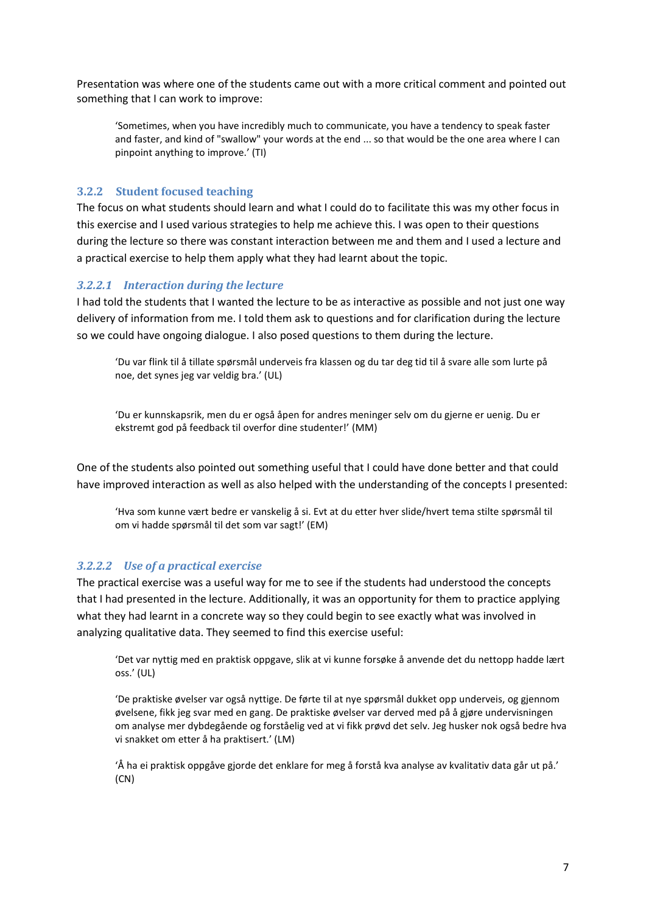Presentation was where one of the students came out with a more critical comment and pointed out something that I can work to improve:

'Sometimes, when you have incredibly much to communicate, you have a tendency to speak faster and faster, and kind of "swallow" your words at the end ... so that would be the one area where I can pinpoint anything to improve.' (TI)

#### **3.2.2 Student focused teaching**

The focus on what students should learn and what I could do to facilitate this was my other focus in this exercise and I used various strategies to help me achieve this. I was open to their questions during the lecture so there was constant interaction between me and them and I used a lecture and a practical exercise to help them apply what they had learnt about the topic.

#### *3.2.2.1 Interaction during the lecture*

I had told the students that I wanted the lecture to be as interactive as possible and not just one way delivery of information from me. I told them ask to questions and for clarification during the lecture so we could have ongoing dialogue. I also posed questions to them during the lecture.

'Du var flink til å tillate spørsmål underveis fra klassen og du tar deg tid til å svare alle som lurte på noe, det synes jeg var veldig bra.' (UL)

'Du er kunnskapsrik, men du er også åpen for andres meninger selv om du gjerne er uenig. Du er ekstremt god på feedback til overfor dine studenter!' (MM)

One of the students also pointed out something useful that I could have done better and that could have improved interaction as well as also helped with the understanding of the concepts I presented:

'Hva som kunne vært bedre er vanskelig å si. Evt at du etter hver slide/hvert tema stilte spørsmål til om vi hadde spørsmål til det som var sagt!' (EM)

#### *3.2.2.2 Use of a practical exercise*

The practical exercise was a useful way for me to see if the students had understood the concepts that I had presented in the lecture. Additionally, it was an opportunity for them to practice applying what they had learnt in a concrete way so they could begin to see exactly what was involved in analyzing qualitative data. They seemed to find this exercise useful:

'Det var nyttig med en praktisk oppgave, slik at vi kunne forsøke å anvende det du nettopp hadde lært oss.' (UL)

'De praktiske øvelser var også nyttige. De førte til at nye spørsmål dukket opp underveis, og gjennom øvelsene, fikk jeg svar med en gang. De praktiske øvelser var derved med på å gjøre undervisningen om analyse mer dybdegående og forståelig ved at vi fikk prøvd det selv. Jeg husker nok også bedre hva vi snakket om etter å ha praktisert.' (LM)

'Å ha ei praktisk oppgåve gjorde det enklare for meg å forstå kva analyse av kvalitativ data går ut på.' (CN)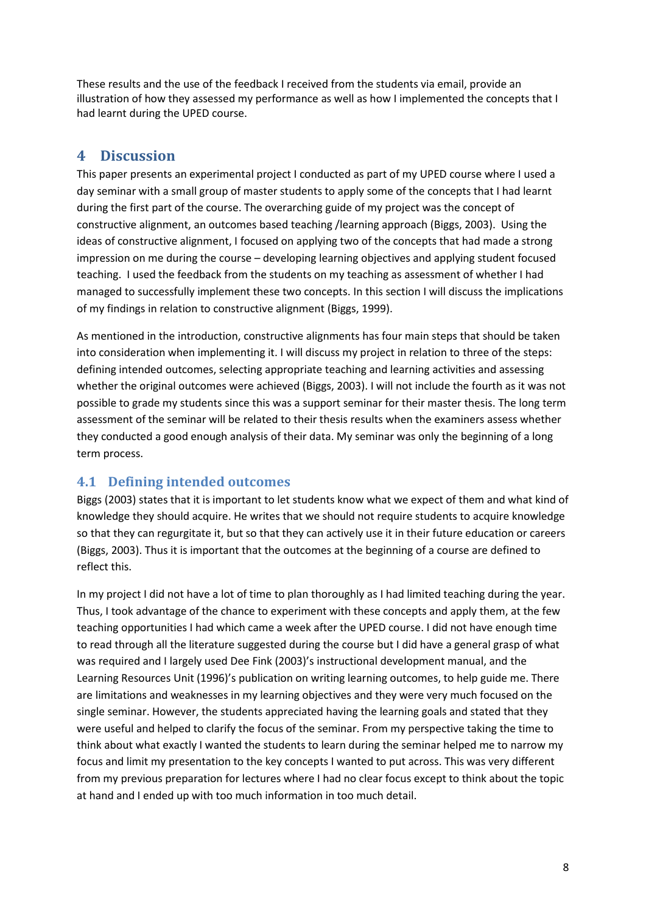These results and the use of the feedback I received from the students via email, provide an illustration of how they assessed my performance as well as how I implemented the concepts that I had learnt during the UPED course.

# **4 Discussion**

This paper presents an experimental project I conducted as part of my UPED course where I used a day seminar with a small group of master students to apply some of the concepts that I had learnt during the first part of the course. The overarching guide of my project was the concept of constructive alignment, an outcomes based teaching /learning approach (Biggs, 2003). Using the ideas of constructive alignment, I focused on applying two of the concepts that had made a strong impression on me during the course – developing learning objectives and applying student focused teaching. I used the feedback from the students on my teaching as assessment of whether I had managed to successfully implement these two concepts. In this section I will discuss the implications of my findings in relation to constructive alignment (Biggs, 1999).

As mentioned in the introduction, constructive alignments has four main steps that should be taken into consideration when implementing it. I will discuss my project in relation to three of the steps: defining intended outcomes, selecting appropriate teaching and learning activities and assessing whether the original outcomes were achieved (Biggs, 2003). I will not include the fourth as it was not possible to grade my students since this was a support seminar for their master thesis. The long term assessment of the seminar will be related to their thesis results when the examiners assess whether they conducted a good enough analysis of their data. My seminar was only the beginning of a long term process.

# **4.1 Defining intended outcomes**

Biggs (2003) states that it is important to let students know what we expect of them and what kind of knowledge they should acquire. He writes that we should not require students to acquire knowledge so that they can regurgitate it, but so that they can actively use it in their future education or careers (Biggs, 2003). Thus it is important that the outcomes at the beginning of a course are defined to reflect this.

In my project I did not have a lot of time to plan thoroughly as I had limited teaching during the year. Thus, I took advantage of the chance to experiment with these concepts and apply them, at the few teaching opportunities I had which came a week after the UPED course. I did not have enough time to read through all the literature suggested during the course but I did have a general grasp of what was required and I largely used Dee Fink (2003)'s instructional development manual, and the Learning Resources Unit (1996)'s publication on writing learning outcomes, to help guide me. There are limitations and weaknesses in my learning objectives and they were very much focused on the single seminar. However, the students appreciated having the learning goals and stated that they were useful and helped to clarify the focus of the seminar. From my perspective taking the time to think about what exactly I wanted the students to learn during the seminar helped me to narrow my focus and limit my presentation to the key concepts I wanted to put across. This was very different from my previous preparation for lectures where I had no clear focus except to think about the topic at hand and I ended up with too much information in too much detail.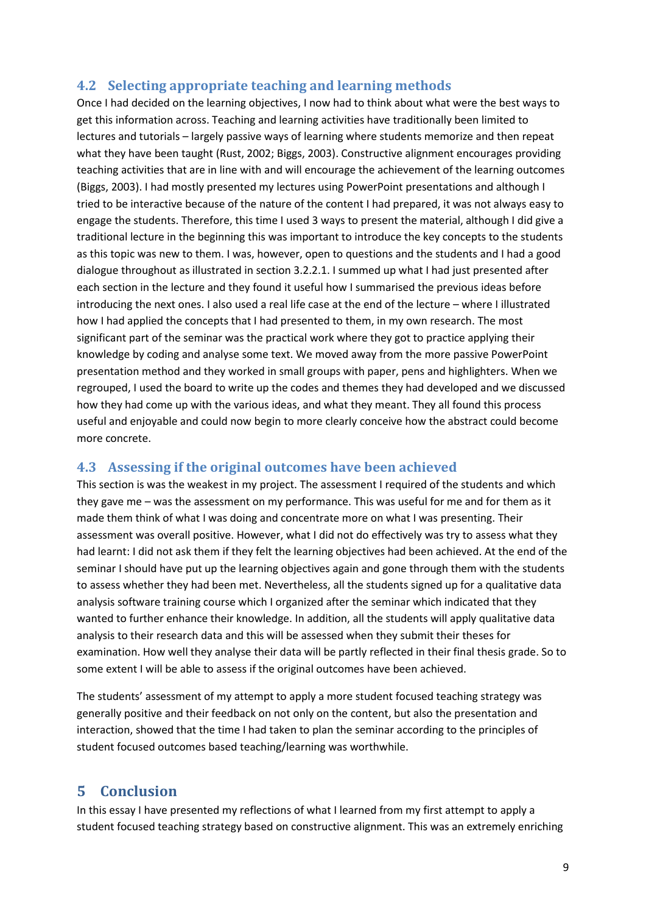## **4.2 Selecting appropriate teaching and learning methods**

Once I had decided on the learning objectives, I now had to think about what were the best ways to get this information across. Teaching and learning activities have traditionally been limited to lectures and tutorials – largely passive ways of learning where students memorize and then repeat what they have been taught (Rust, 2002; Biggs, 2003). Constructive alignment encourages providing teaching activities that are in line with and will encourage the achievement of the learning outcomes (Biggs, 2003). I had mostly presented my lectures using PowerPoint presentations and although I tried to be interactive because of the nature of the content I had prepared, it was not always easy to engage the students. Therefore, this time I used 3 ways to present the material, although I did give a traditional lecture in the beginning this was important to introduce the key concepts to the students as this topic was new to them. I was, however, open to questions and the students and I had a good dialogue throughout as illustrated in section 3.2.2.1. I summed up what I had just presented after each section in the lecture and they found it useful how I summarised the previous ideas before introducing the next ones. I also used a real life case at the end of the lecture – where I illustrated how I had applied the concepts that I had presented to them, in my own research. The most significant part of the seminar was the practical work where they got to practice applying their knowledge by coding and analyse some text. We moved away from the more passive PowerPoint presentation method and they worked in small groups with paper, pens and highlighters. When we regrouped, I used the board to write up the codes and themes they had developed and we discussed how they had come up with the various ideas, and what they meant. They all found this process useful and enjoyable and could now begin to more clearly conceive how the abstract could become more concrete.

# **4.3 Assessing if the original outcomes have been achieved**

This section is was the weakest in my project. The assessment I required of the students and which they gave me – was the assessment on my performance. This was useful for me and for them as it made them think of what I was doing and concentrate more on what I was presenting. Their assessment was overall positive. However, what I did not do effectively was try to assess what they had learnt: I did not ask them if they felt the learning objectives had been achieved. At the end of the seminar I should have put up the learning objectives again and gone through them with the students to assess whether they had been met. Nevertheless, all the students signed up for a qualitative data analysis software training course which I organized after the seminar which indicated that they wanted to further enhance their knowledge. In addition, all the students will apply qualitative data analysis to their research data and this will be assessed when they submit their theses for examination. How well they analyse their data will be partly reflected in their final thesis grade. So to some extent I will be able to assess if the original outcomes have been achieved.

The students' assessment of my attempt to apply a more student focused teaching strategy was generally positive and their feedback on not only on the content, but also the presentation and interaction, showed that the time I had taken to plan the seminar according to the principles of student focused outcomes based teaching/learning was worthwhile.

# **5 Conclusion**

In this essay I have presented my reflections of what I learned from my first attempt to apply a student focused teaching strategy based on constructive alignment. This was an extremely enriching